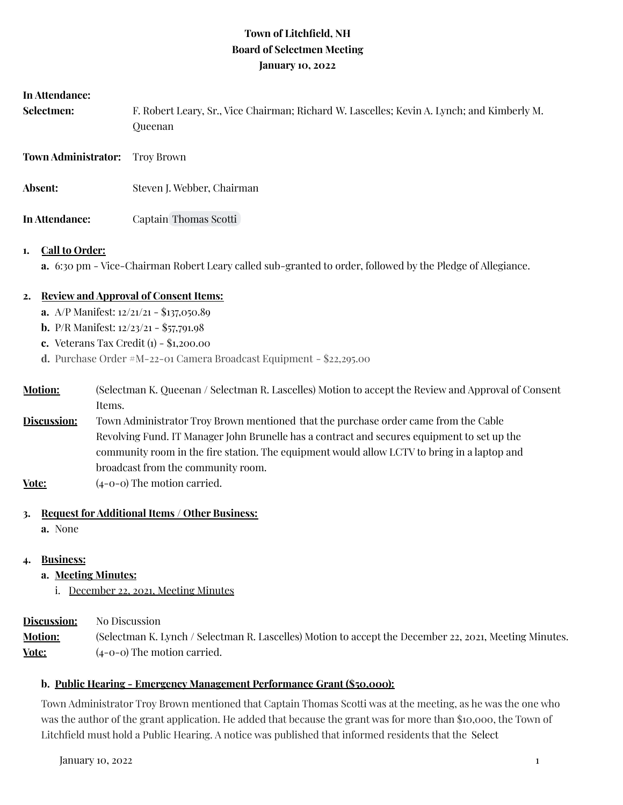# **Town of Litchfield, NH Board of Selectmen Meeting January 10, 2022**

| In Attendance:<br>Selectmen: | F. Robert Leary, Sr., Vice Chairman; Richard W. Lascelles; Kevin A. Lynch; and Kimberly M.<br>Queenan |
|------------------------------|-------------------------------------------------------------------------------------------------------|
| <b>Town Administrator:</b>   | Troy Brown                                                                                            |
| Absent:                      | Steven J. Webber, Chairman                                                                            |
| In Attendance:               | Captain Thomas Scotti                                                                                 |

### **1. Call to Order:**

**a.** 6:30 pm - Vice-Chairman Robert Leary called sub-granted to order, followed by the Pledge of Allegiance.

# **2. Review and Approval of Consent Items:**

- **a.** A/P Manifest: 12/21/21 \$137,050.89
- **b.** P/R Manifest: 12/23/21 \$57,791.98
- **c.** Veterans Tax Credit (1) \$1,200.00
- **d.** Purchase Order #M-22-01 Camera Broadcast Equipment \$22,295.00
- **Motion:** (Selectman K. Queenan / Selectman R. Lascelles) Motion to accept the Review and Approval of Consent Items.
- **Discussion:** Town Administrator Troy Brown mentioned that the purchase order came from the Cable Revolving Fund. IT Manager John Brunelle has a contract and secures equipment to set up the community room in the fire station. The equipment would allow LCTV to bring in a laptop and broadcast from the community room.
- **Vote:** (4-0-0) The motion carried.

# **3. Request for Additional Items / Other Business:**

**a.** None

# **4. Business:**

- **a. Meeting Minutes:**
	- i. December 22, 2021, Meeting Minutes

**Discussion:** No Discussion **Motion:** (Selectman K. Lynch / Selectman R. Lascelles) Motion to accept the December 22, 2021, Meeting Minutes. **Vote:**  $(4-0-0)$  The motion carried.

### **b. Public Hearing - Emergency Management Performance Grant (\$50,000):**

Town Administrator Troy Brown mentioned that Captain Thomas Scotti was at the meeting, as he was the one who was the author of the grant application. He added that because the grant was for more than \$10,000, the Town of Litchfield must hold a Public Hearing. A notice was published that informed residents that the Select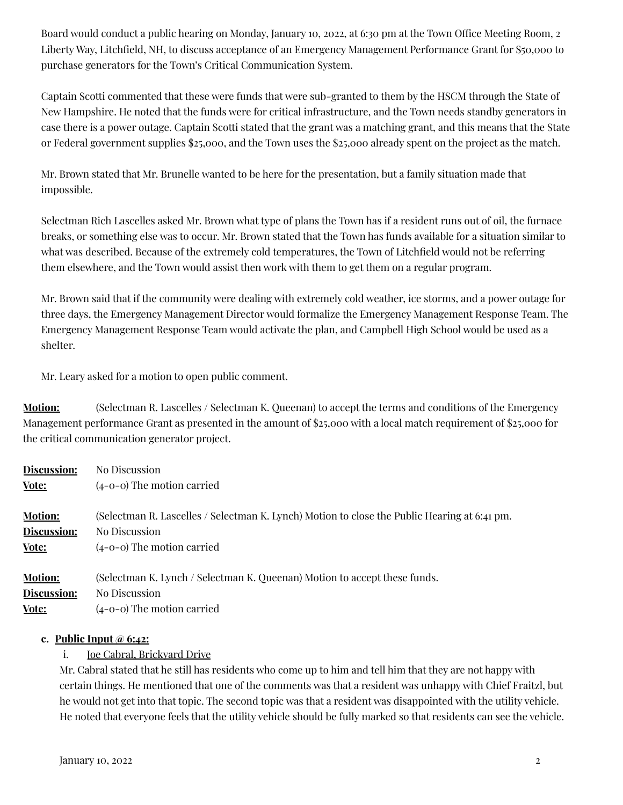Board would conduct a public hearing on Monday, January 10, 2022, at 6:30 pm at the Town Office Meeting Room, 2 Liberty Way, Litchfield, NH, to discuss acceptance of an Emergency Management Performance Grant for \$50,000 to purchase generators for the Town's Critical Communication System.

Captain Scotti commented that these were funds that were sub-granted to them by the HSCM through the State of New Hampshire. He noted that the funds were for critical infrastructure, and the Town needs standby generators in case there is a power outage. Captain Scotti stated that the grant was a matching grant, and this means that the State or Federal government supplies \$25,000, and the Town uses the \$25,000 already spent on the project as the match.

Mr. Brown stated that Mr. Brunelle wanted to be here for the presentation, but a family situation made that impossible.

Selectman Rich Lascelles asked Mr. Brown what type of plans the Town has if a resident runs out of oil, the furnace breaks, or something else was to occur. Mr. Brown stated that the Town has funds available for a situation similar to what was described. Because of the extremely cold temperatures, the Town of Litchfield would not be referring them elsewhere, and the Town would assist then work with them to get them on a regular program.

Mr. Brown said that if the community were dealing with extremely cold weather, ice storms, and a power outage for three days, the Emergency Management Director would formalize the Emergency Management Response Team. The Emergency Management Response Team would activate the plan, and Campbell High School would be used as a shelter.

Mr. Leary asked for a motion to open public comment.

**Motion:** (Selectman R. Lascelles / Selectman K. Queenan) to accept the terms and conditions of the Emergency Management performance Grant as presented in the amount of \$25,000 with a local match requirement of \$25,000 for the critical communication generator project.

| <b>Discussion:</b> | No Discussion                                                                                |
|--------------------|----------------------------------------------------------------------------------------------|
| Vote:              | $(4-0-0)$ The motion carried                                                                 |
| <b>Motion:</b>     | (Selectman R. Lascelles / Selectman K. Lynch) Motion to close the Public Hearing at 6:41 pm. |
| Discussion:        | No Discussion                                                                                |
| Vote:              | $(4-0-0)$ The motion carried                                                                 |
| <b>Motion:</b>     | (Selectman K. Lynch / Selectman K. Queenan) Motion to accept these funds.                    |
| Discussion:        | No Discussion                                                                                |
| Vote:              | $(4-0-0)$ The motion carried                                                                 |

### **c. Public Input @ 6:42:**

i. Joe Cabral, Brickyard Drive

Mr. Cabral stated that he still has residents who come up to him and tell him that they are not happy with certain things. He mentioned that one of the comments was that a resident was unhappy with Chief Fraitzl, but he would not get into that topic. The second topic was that a resident was disappointed with the utility vehicle. He noted that everyone feels that the utility vehicle should be fully marked so that residents can see the vehicle.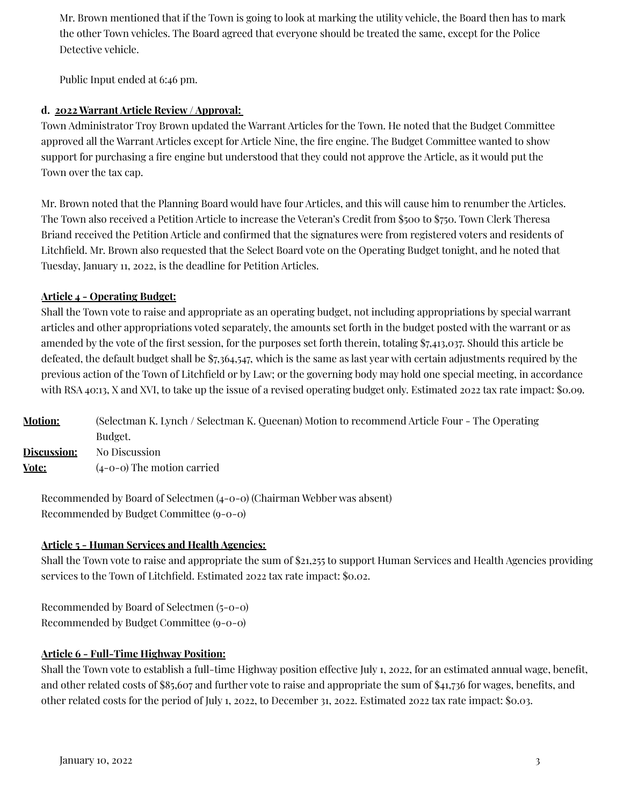Mr. Brown mentioned that if the Town is going to look at marking the utility vehicle, the Board then has to mark the other Town vehicles. The Board agreed that everyone should be treated the same, except for the Police Detective vehicle.

Public Input ended at 6:46 pm.

### **d. 2022 Warrant Article Review / Approval:**

Town Administrator Troy Brown updated the Warrant Articles for the Town. He noted that the Budget Committee approved all the Warrant Articles except for Article Nine, the fire engine. The Budget Committee wanted to show support for purchasing a fire engine but understood that they could not approve the Article, as it would put the Town over the tax cap.

Mr. Brown noted that the Planning Board would have four Articles, and this will cause him to renumber the Articles. The Town also received a Petition Article to increase the Veteran's Credit from \$500 to \$750. Town Clerk Theresa Briand received the Petition Article and confirmed that the signatures were from registered voters and residents of Litchfield. Mr. Brown also requested that the Select Board vote on the Operating Budget tonight, and he noted that Tuesday, January 11, 2022, is the deadline for Petition Articles.

#### **Article 4 - Operating Budget:**

Shall the Town vote to raise and appropriate as an operating budget, not including appropriations by special warrant articles and other appropriations voted separately, the amounts set forth in the budget posted with the warrant or as amended by the vote of the first session, for the purposes set forth therein, totaling \$7,413,037. Should this article be defeated, the default budget shall be \$7,364,547, [w](https://docs.google.com/spreadsheets/d/1i2zQPXSokEQmsmUZKumNU4-2dTWMvPcqzwjnf4KIcR8/edit?usp=sharing)hich is the same as last year with certain adjustments required by the previous action of the Town of Litchfield or by Law; or the governing body may hold one special meeting, in accordance with RSA 40:13, X and XVI, to take up the issue of a revised operating budget only. Estimated 2022 tax rate impact: \$0.09.

| <b>Motion:</b> | (Selectman K. Lynch / Selectman K. Queenan) Motion to recommend Article Four - The Operating |
|----------------|----------------------------------------------------------------------------------------------|
|                | Budget.                                                                                      |
| Discussion:    | No Discussion                                                                                |
| Vote:          | $(4-0-0)$ The motion carried                                                                 |

Recommended by Board of Selectmen (4-0-0) (Chairman Webber was absent) Recommended by Budget Committee (9-0-0)

### **Article 5 - Human Services and Health Agencies:**

Shall the Town vote to raise and appropriate the sum of \$21,255 to support Human Services and Health Agencies providing services to the Town of Litchfield. Estimated 2022 tax rate impact: \$0.02.

Recommended by Board of Selectmen (5-0-0) Recommended by Budget Committee (9-0-0)

### **Article 6 - Full-Time Highway Position:**

Shall the Town vote to establish a full-time Highway position effective July 1, 2022, for an estimated annual wage, benefit, and other related costs of \$85,607 and further vote to raise and appropriate the sum of \$41,736 for wages, benefits, and other related costs for the period of July 1, 2022, to December 31, 2022. Estimated 2022 tax rate impact: \$0.03.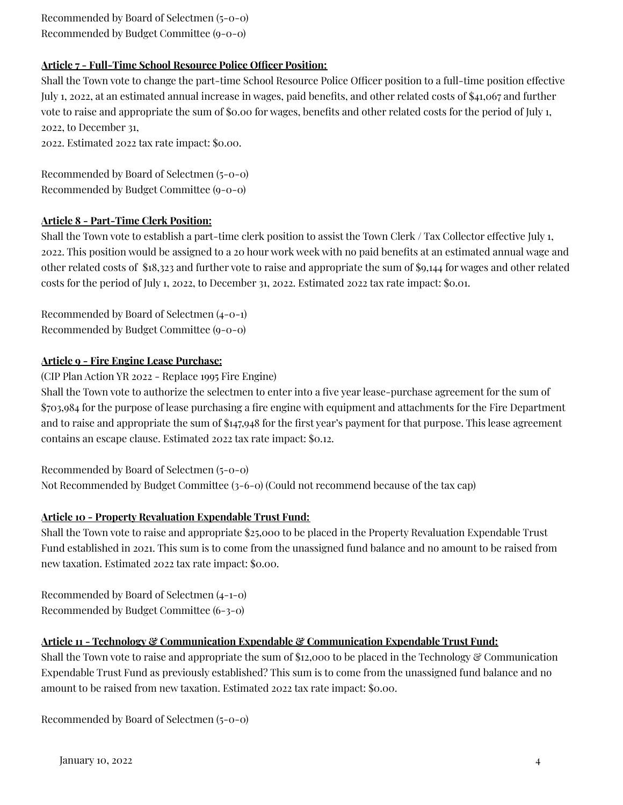Recommended by Board of Selectmen (5-0-0) Recommended by Budget Committee (9-0-0)

# **Article 7 - Full-Time School Resource Police Officer Position:**

Shall the Town vote to change the part-time School Resource Police Officer position to a full-time position effective July 1, 2022, at an estimated annual increase in wages, paid benefits, and other related costs of \$41,067 and further vote to raise and appropriate the sum of \$0.00 for wages, benefits and other related costs for the period of July 1, 2022, to December 31,

2022. Estimated 2022 tax rate impact: \$0.00.

Recommended by Board of Selectmen (5-0-0) Recommended by Budget Committee (9-0-0)

### **Article 8 - Part-Time Clerk Position:**

Shall the Town vote to establish a part-time clerk position to assist the Town Clerk / Tax Collector effective July 1, 2022. This position would be assigned to a 20 hour work week with no paid benefits at an estimated annual wage and other related costs of \$18,323 and further vote to raise and appropriate the sum of \$9,144 for wages and other related costs for the period of July 1, 2022, to December 31, 2022. Estimated 2022 tax rate impact: \$0.01.

Recommended by Board of Selectmen (4-0-1) Recommended by Budget Committee (9-0-0)

### **Article 9 - Fire Engine Lease Purchase:**

(CIP Plan Action YR 2022 - Replace 1995 Fire Engine)

Shall the Town vote to authorize the selectmen to enter into a five year lease-purchase agreement for the sum of \$703,984 for the purpose of lease purchasing a fire engine with equipment and attachments for the Fire Department and to raise and appropriate the sum of \$147,948 for the first year's payment for that purpose. This lease agreement contains an escape clause. Estimated 2022 tax rate impact: \$0.12.

Recommended by Board of Selectmen (5-0-0)

Not Recommended by Budget Committee (3-6-0) (Could not recommend because of the tax cap)

# **Article 10 - Property Revaluation Expendable Trust Fund:**

Shall the Town vote to raise and appropriate \$25,000 to be placed in the Property Revaluation Expendable Trust Fund established in 2021. This sum is to come from the unassigned fund balance and no amount to be raised from new taxation. Estimated 2022 tax rate impact: \$0.00.

Recommended by Board of Selectmen (4-1-0) Recommended by Budget Committee (6-3-0)

# **Article 11 - Technology & Communication Expendable & Communication Expendable Trust Fund:**

Shall the Town vote to raise and appropriate the sum of \$12,000 to be placed in the Technology & Communication Expendable Trust Fund as previously established? This sum is to come from the unassigned fund balance and no amount to be raised from new taxation. Estimated 2022 tax rate impact: \$0.00.

Recommended by Board of Selectmen (5-0-0)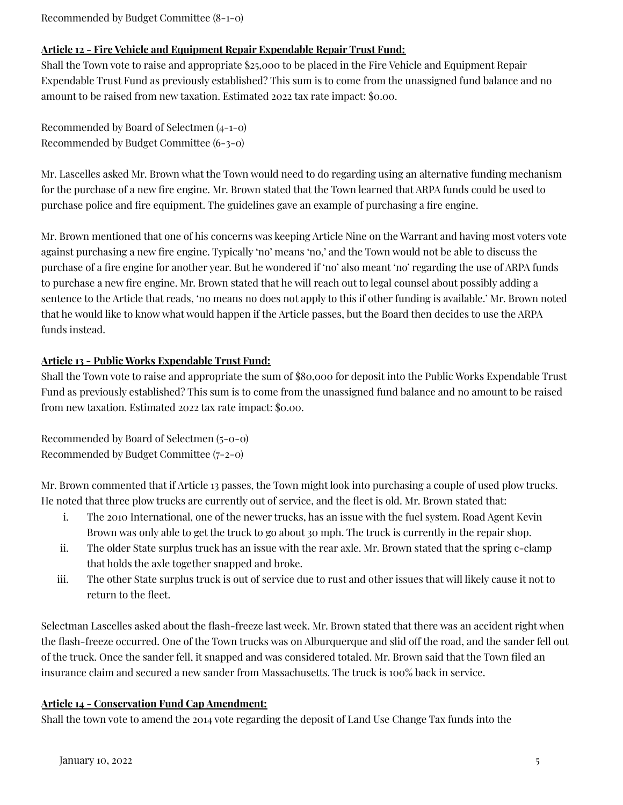Recommended by Budget Committee (8-1-0)

### **Article 12 - Fire Vehicle and Equipment Repair Expendable Repair Trust Fund:**

Shall the Town vote to raise and appropriate \$25,000 to be placed in the Fire Vehicle and Equipment Repair Expendable Trust Fund as previously established? This sum is to come from the unassigned fund balance and no amount to be raised from new taxation. Estimated 2022 tax rate impact: \$0.00.

Recommended by Board of Selectmen (4-1-0) Recommended by Budget Committee (6-3-0)

Mr. Lascelles asked Mr. Brown what the Town would need to do regarding using an alternative funding mechanism for the purchase of a new fire engine. Mr. Brown stated that the Town learned that ARPA funds could be used to purchase police and fire equipment. The guidelines gave an example of purchasing a fire engine.

Mr. Brown mentioned that one of his concerns was keeping Article Nine on the Warrant and having most voters vote against purchasing a new fire engine. Typically 'no' means 'no,' and the Town would not be able to discuss the purchase of a fire engine for another year. But he wondered if 'no' also meant 'no' regarding the use of ARPA funds to purchase a new fire engine. Mr. Brown stated that he will reach out to legal counsel about possibly adding a sentence to the Article that reads, 'no means no does not apply to this if other funding is available.' Mr. Brown noted that he would like to know what would happen if the Article passes, but the Board then decides to use the ARPA funds instead.

### **Article 13 - Public Works Expendable Trust Fund:**

Shall the Town vote to raise and appropriate the sum of \$80,000 for deposit into the Public Works Expendable Trust Fund as previously established? This sum is to come from the unassigned fund balance and no amount to be raised from new taxation. Estimated 2022 tax rate impact: \$0.00.

Recommended by Board of Selectmen (5-0-0) Recommended by Budget Committee (7-2-0)

Mr. Brown commented that if Article 13 passes, the Town might look into purchasing a couple of used plow trucks. He noted that three plow trucks are currently out of service, and the fleet is old. Mr. Brown stated that:

- i. The 2010 International, one of the newer trucks, has an issue with the fuel system. Road Agent Kevin Brown was only able to get the truck to go about 30 mph. The truck is currently in the repair shop.
- ii. The older State surplus truck has an issue with the rear axle. Mr. Brown stated that the spring c-clamp that holds the axle together snapped and broke.
- iii. The other State surplus truck is out of service due to rust and other issues that will likely cause it not to return to the fleet.

Selectman Lascelles asked about the flash-freeze last week. Mr. Brown stated that there was an accident right when the flash-freeze occurred. One of the Town trucks was on Alburquerque and slid off the road, and the sander fell out of the truck. Once the sander fell, it snapped and was considered totaled. Mr. Brown said that the Town filed an insurance claim and secured a new sander from Massachusetts. The truck is 100% back in service.

### **Article 14 - Conservation Fund Cap Amendment:**

Shall the town vote to amend the 2014 vote regarding the deposit of Land Use Change Tax funds into the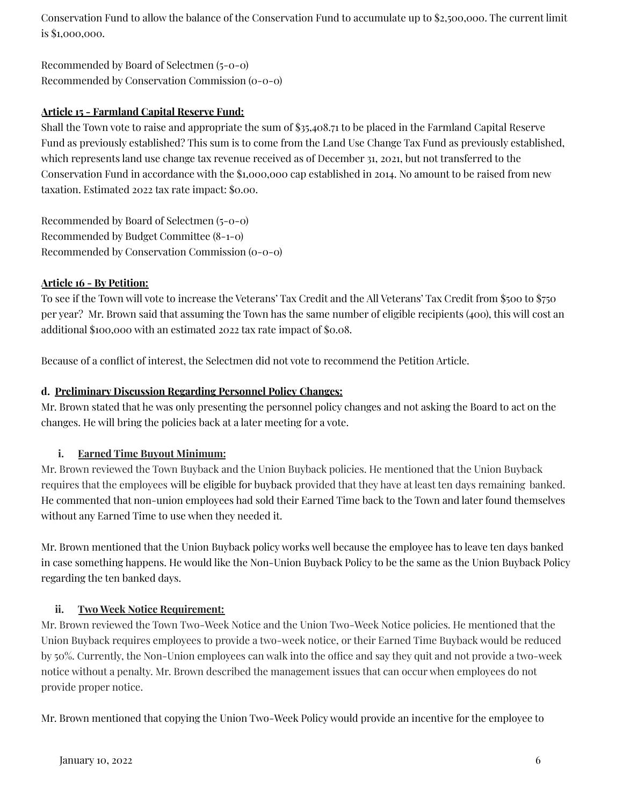Conservation Fund to allow the balance of the Conservation Fund to accumulate up to \$2,500,000. The current limit is \$1,000,000.

Recommended by Board of Selectmen (5-0-0) Recommended by Conservation Commission (0-0-0)

# **Article 15 - Farmland Capital Reserve Fund:**

Shall the Town vote to raise and appropriate the sum of \$35,408.71 to be placed in the Farmland Capital Reserve Fund as previously established? This sum is to come from the Land Use Change Tax Fund as previously established, which represents land use change tax revenue received as of December 31, 2021, but not transferred to the Conservation Fund in accordance with the \$1,000,000 cap established in 2014. No amount to be raised from new taxation. Estimated 2022 tax rate impact: \$0.00.

Recommended by Board of Selectmen (5-0-0) Recommended by Budget Committee (8-1-0) Recommended by Conservation Commission (0-0-0)

# **Article 16 - By Petition:**

To see if the Town will vote to increase the Veterans' Tax Credit and the All Veterans' Tax Credit from \$500 to \$750 per year? Mr. Brown said that assuming the Town has the same number of eligible recipients (400), this will cost an additional \$100,000 with an estimated 2022 tax rate impact of \$0.08.

Because of a conflict of interest, the Selectmen did not vote to recommend the Petition Article.

### **d. Preliminary Discussion Regarding Personnel Policy Changes:**

Mr. Brown stated that he was only presenting the personnel policy changes and not asking the Board to act on the changes. He will bring the policies back at a later meeting for a vote.

# **i. Earned Time Buyout Minimum:**

Mr. Brown reviewed the Town Buyback and the Union Buyback policies. He mentioned that the Union Buyback requires that the employees will be eligible for buyback provided that they have at least ten days remaining banked. He commented that non-union employees had sold their Earned Time back to the Town and later found themselves without any Earned Time to use when they needed it.

Mr. Brown mentioned that the Union Buyback policy works well because the employee has to leave ten days banked in case something happens. He would like the Non-Union Buyback Policy to be the same as the Union Buyback Policy regarding the ten banked days.

# **ii. Two Week Notice Requirement:**

Mr. Brown reviewed the Town Two-Week Notice and the Union Two-Week Notice policies. He mentioned that the Union Buyback requires employees to provide a two-week notice, or their Earned Time Buyback would be reduced by 50%. Currently, the Non-Union employees can walk into the office and say they quit and not provide a two-week notice without a penalty. Mr. Brown described the management issues that can occur when employees do not provide proper notice.

Mr. Brown mentioned that copying the Union Two-Week Policy would provide an incentive for the employee to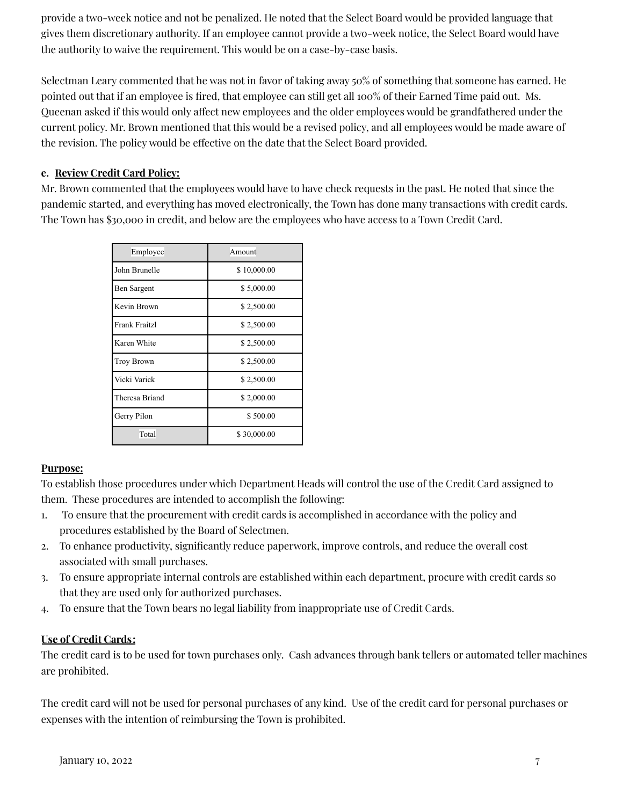provide a two-week notice and not be penalized. He noted that the Select Board would be provided language that gives them discretionary authority. If an employee cannot provide a two-week notice, the Select Board would have the authority to waive the requirement. This would be on a case-by-case basis.

Selectman Leary commented that he was not in favor of taking away 50% of something that someone has earned. He pointed out that if an employee is fired, that employee can still get all 100% of their Earned Time paid out. Ms. Queenan asked if this would only affect new employees and the older employees would be grandfathered under the current policy. Mr. Brown mentioned that this would be a revised policy, and all employees would be made aware of the revision. The policy would be effective on the date that the Select Board provided.

# **e. Review Credit Card Policy:**

Mr. Brown commented that the employees would have to have check requests in the past. He noted that since the pandemic started, and everything has moved electronically, the Town has done many transactions with credit cards. The Town has \$30,000 in credit, and below are the employees who have access to a Town Credit Card.

| Employee             | Amount      |  |  |
|----------------------|-------------|--|--|
| John Brunelle        | \$10,000.00 |  |  |
| Ben Sargent          | \$5,000.00  |  |  |
| Kevin Brown          | \$2,500.00  |  |  |
| <b>Frank Fraitzl</b> | \$2,500.00  |  |  |
| Karen White          | \$2,500.00  |  |  |
| <b>Troy Brown</b>    | \$2,500.00  |  |  |
| Vicki Varick         | \$2,500.00  |  |  |
| Theresa Briand       | \$2,000.00  |  |  |
| Gerry Pilon          | \$500.00    |  |  |
| Total                | \$30,000.00 |  |  |

# **Purpose:**

To establish those procedures under which Department Heads will control the use of the Credit Card assigned to them. These procedures are intended to accomplish the following:

- 1. To ensure that the procurement with credit cards is accomplished in accordance with the policy and procedures established by the Board of Selectmen.
- 2. To enhance productivity, significantly reduce paperwork, improve controls, and reduce the overall cost associated with small purchases.
- 3. To ensure appropriate internal controls are established within each department, procure with credit cards so that they are used only for authorized purchases.
- 4. To ensure that the Town bears no legal liability from inappropriate use of Credit Cards.

# **Use of Credit Cards:**

The credit card is to be used for town purchases only. Cash advances through bank tellers or automated teller machines are prohibited.

The credit card will not be used for personal purchases of any kind. Use of the credit card for personal purchases or expenses with the intention of reimbursing the Town is prohibited.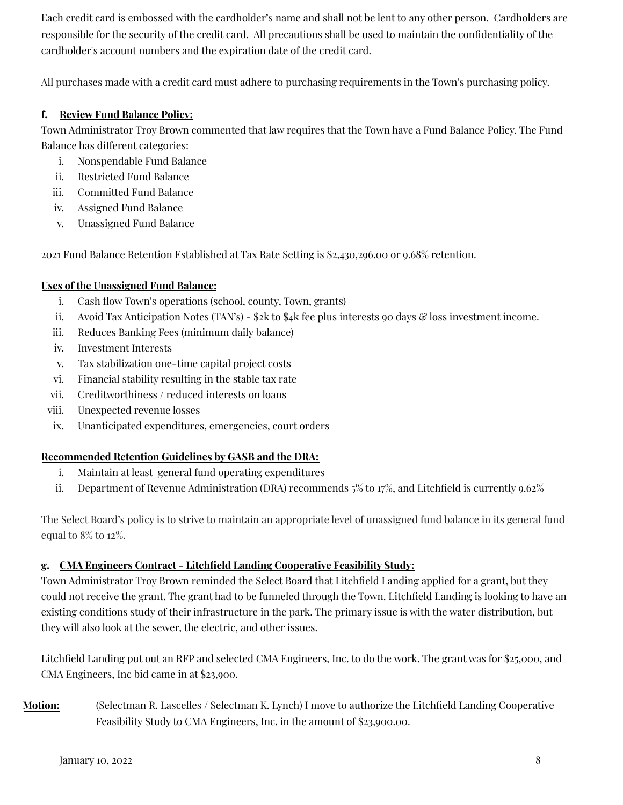Each credit card is embossed with the cardholder's name and shall not be lent to any other person. Cardholders are responsible for the security of the credit card. All precautions shall be used to maintain the confidentiality of the cardholder's account numbers and the expiration date of the credit card.

All purchases made with a credit card must adhere to purchasing requirements in the Town's purchasing policy.

### **f. Review Fund Balance Policy:**

Town Administrator Troy Brown commented that law requires that the Town have a Fund Balance Policy. The Fund Balance has different categories:

- i. Nonspendable Fund Balance
- ii. Restricted Fund Balance
- iii. Committed Fund Balance
- iv. Assigned Fund Balance
- v. Unassigned Fund Balance

2021 Fund Balance Retention Established at Tax Rate Setting is \$2,430,296.00 or 9.68% retention.

#### **Uses of the Unassigned Fund Balance:**

- i. Cash flow Town's operations (school, county, Town, grants)
- ii. Avoid Tax Anticipation Notes (TAN's)  $2k$  to  $4k$  fee plus interests 90 days  $\mathcal{C}$  loss investment income.
- iii. Reduces Banking Fees (minimum daily balance)
- iv. Investment Interests
- v. Tax stabilization one-time capital project costs
- vi. Financial stability resulting in the stable tax rate
- vii. Creditworthiness / reduced interests on loans
- viii. Unexpected revenue losses
- ix. Unanticipated expenditures, emergencies, court orders

### **Recommended Retention Guidelines by GASB and the DRA:**

- i. Maintain at least general fund operating expenditures
- ii. Department of Revenue Administration (DRA) recommends 5% to 17%, and Litchfield is currently 9.62%

The Select Board's policy is to strive to maintain an appropriate level of unassigned fund balance in its general fund equal to 8% to 12%.

### **g. CMA Engineers Contract - Litchfield Landing Cooperative Feasibility Study:**

Town Administrator Troy Brown reminded the Select Board that Litchfield Landing applied for a grant, but they could not receive the grant. The grant had to be funneled through the Town. Litchfield Landing is looking to have an existing conditions study of their infrastructure in the park. The primary issue is with the water distribution, but they will also look at the sewer, the electric, and other issues.

Litchfield Landing put out an RFP and selected CMA Engineers, Inc. to do the work. The grant was for \$25,000, and CMA Engineers, Inc bid came in at \$23,900.

**Motion:** (Selectman R. Lascelles / Selectman K. Lynch) I move to authorize the Litchfield Landing Cooperative Feasibility Study to CMA Engineers, Inc. in the amount of \$23,900.00.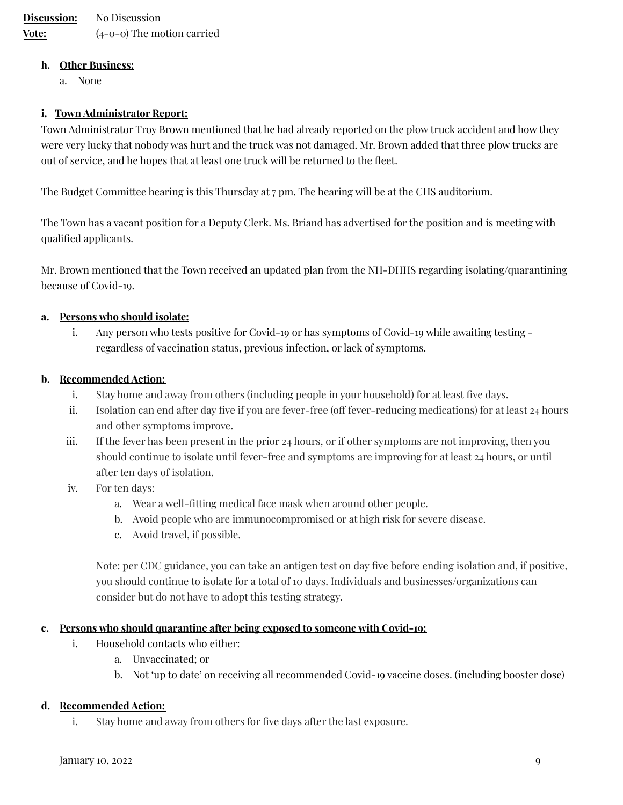#### **h. Other Business:**

a. None

#### **i. Town Administrator Report:**

Town Administrator Troy Brown mentioned that he had already reported on the plow truck accident and how they were very lucky that nobody was hurt and the truck was not damaged. Mr. Brown added that three plow trucks are out of service, and he hopes that at least one truck will be returned to the fleet.

The Budget Committee hearing is this Thursday at 7 pm. The hearing will be at the CHS auditorium.

The Town has a vacant position for a Deputy Clerk. Ms. Briand has advertised for the position and is meeting with qualified applicants.

Mr. Brown mentioned that the Town received an updated plan from the NH-DHHS regarding isolating/quarantining because of Covid-19.

#### **a. Persons who should isolate:**

i. Any person who tests positive for Covid-19 or has symptoms of Covid-19 while awaiting testing regardless of vaccination status, previous infection, or lack of symptoms.

#### **b. Recommended Action:**

- i. Stay home and away from others (including people in your household) for at least five days.
- ii. Isolation can end after day five if you are fever-free (off fever-reducing medications) for at least 24 hours and other symptoms improve.
- iii. If the fever has been present in the prior 24 hours, or if other symptoms are not improving, then you should continue to isolate until fever-free and symptoms are improving for at least 24 hours, or until after ten days of isolation.
- iv. For ten days:
	- a. Wear a well-fitting medical face mask when around other people.
	- b. Avoid people who are immunocompromised or at high risk for severe disease.
	- c. Avoid travel, if possible.

Note: per CDC guidance, you can take an antigen test on day five before ending isolation and, if positive, you should continue to isolate for a total of 10 days. Individuals and businesses/organizations can consider but do not have to adopt this testing strategy.

#### **c. Persons who should quarantine after being exposed to someone with Covid-19:**

- i. Household contacts who either:
	- a. Unvaccinated; or
	- b. Not 'up to date' on receiving all recommended Covid-19 vaccine doses. (including booster dose)

#### **d. Recommended Action:**

i. Stay home and away from others for five days after the last exposure.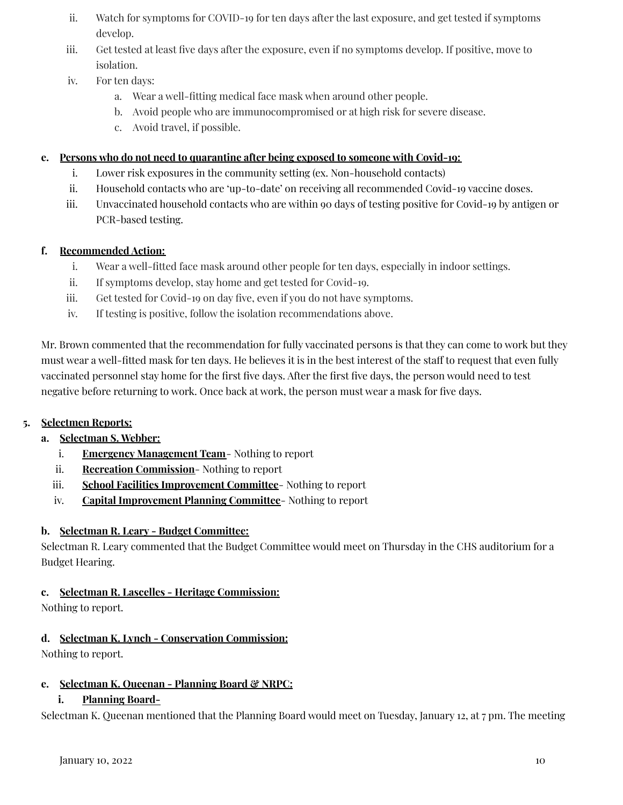- ii. Watch for symptoms for COVID-19 for ten days after the last exposure, and get tested if symptoms develop.
- iii. Get tested at least five days after the exposure, even if no symptoms develop. If positive, move to isolation.
- iv. For ten days:
	- a. Wear a well-fitting medical face mask when around other people.
	- b. Avoid people who are immunocompromised or at high risk for severe disease.
	- c. Avoid travel, if possible.

### **e. Persons who do not need to quarantine after being exposed to someone with Covid-19:**

- i. Lower risk exposures in the community setting (ex. Non-household contacts)
- ii. Household contacts who are 'up-to-date' on receiving all recommended Covid-19 vaccine doses.
- iii. Unvaccinated household contacts who are within 90 days of testing positive for Covid-19 by antigen or PCR-based testing.

# **f. Recommended Action:**

- i. Wear a well-fitted face mask around other people for ten days, especially in indoor settings.
- ii. If symptoms develop, stay home and get tested for Covid-19.
- iii. Get tested for Covid-19 on day five, even if you do not have symptoms.
- iv. If testing is positive, follow the isolation recommendations above.

Mr. Brown commented that the recommendation for fully vaccinated persons is that they can come to work but they must wear a well-fitted mask for ten days. He believes it is in the best interest of the staff to request that even fully vaccinated personnel stay home for the first five days. After the first five days, the person would need to test negative before returning to work. Once back at work, the person must wear a mask for five days.

# **5. Selectmen Reports:**

# **a. Selectman S. Webber:**

- i. **Emergency Management Team** Nothing to report
- ii. **Recreation Commission** Nothing to report
- iii. **School Facilities Improvement Committee** Nothing to report
- iv. **Capital Improvement Planning Committee** Nothing to report

# **b. Selectman R. Leary - Budget Committee:**

Selectman R. Leary commented that the Budget Committee would meet on Thursday in the CHS auditorium for a Budget Hearing.

# **c. Selectman R. Lascelles - Heritage Commission:**

Nothing to report.

# **d. Selectman K. Lynch - Conservation Commission:**

Nothing to report.

# **e. Selectman K. Queenan - Planning Board & NRPC:**

# **i. Planning Board-**

Selectman K. Queenan mentioned that the Planning Board would meet on Tuesday, January 12, at 7 pm. The meeting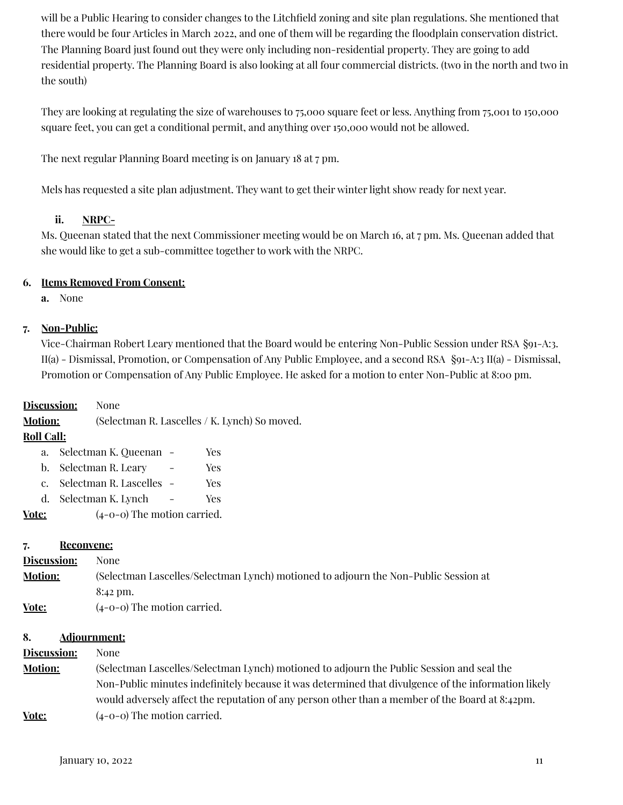will be a Public Hearing to consider changes to the Litchfield zoning and site plan regulations. She mentioned that there would be four Articles in March 2022, and one of them will be regarding the floodplain conservation district. The Planning Board just found out they were only including non-residential property. They are going to add residential property. The Planning Board is also looking at all four commercial districts. (two in the north and two in the south)

They are looking at regulating the size of warehouses to 75,000 square feet or less. Anything from 75,001 to 150,000 square feet, you can get a conditional permit, and anything over 150,000 would not be allowed.

The next regular Planning Board meeting is on January 18 at 7 pm.

Mels has requested a site plan adjustment. They want to get their winter light show ready for next year.

### **ii. NRPC-**

Ms. Queenan stated that the next Commissioner meeting would be on March 16, at 7 pm. Ms. Queenan added that she would like to get a sub-committee together to work with the NRPC.

### **6. Items Removed From Consent:**

**a.** None

# **7. Non-Public:**

Vice-Chairman Robert Leary mentioned that the Board would be entering Non-Public Session under RSA §91-A:3. II(a) - Dismissal, Promotion, or Compensation of Any Public Employee, and a second RSA §91-A:3 II(a) - Dismissal, Promotion or Compensation of Any Public Employee. He asked for a motion to enter Non-Public at 8:00 pm.

**Discussion:** None **Motion:** (Selectman R. Lascelles / K. Lynch) So moved. **Roll Call:**

| Vote: | $(4-0-0)$ The motion carried. |     |
|-------|-------------------------------|-----|
|       | d. Selectman K. Lynch         | Yes |
|       | c. Selectman R. Lascelles -   | Yes |
|       | b. Selectman R. Leary         | Yes |
| a.    | - Selectman K. Queenan        | Yes |
|       |                               |     |

### **7. Reconvene:**

| Discussion:    | None                                                                                |
|----------------|-------------------------------------------------------------------------------------|
| <b>Motion:</b> | (Selectman Lascelles/Selectman Lynch) motioned to adjourn the Non-Public Session at |
|                | 8:42 pm.                                                                            |
| Vote:          | $(4-0-0)$ The motion carried.                                                       |

### **8. Adjournment:**

# **Discussion:** None

**Motion:** (Selectman Lascelles/Selectman Lynch) motioned to adjourn the Public Session and seal the Non-Public minutes indefinitely because it was determined that divulgence of the information likely would adversely affect the reputation of any person other than a member of the Board at 8:42pm. **<u>Vote:</u>** (4-0-0) The motion carried.